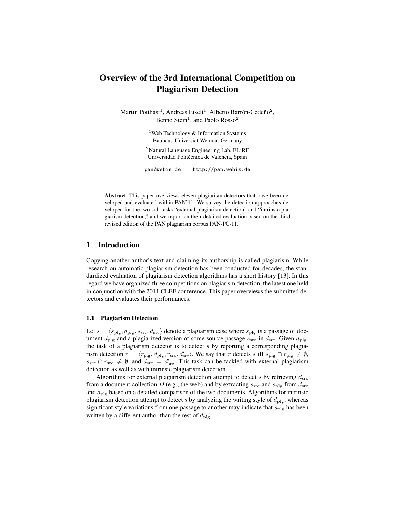# Overview of the 3rd International Competition on Plagiarism Detection

Martin Potthast<sup>1</sup>, Andreas Eiselt<sup>1</sup>, Alberto Barrón-Cedeño<sup>2</sup>, Benno Stein<sup>1</sup>, and Paolo Rosso<sup>2</sup>

> <sup>1</sup>Web Technology  $&$  Information Systems Bauhaus-Universiät Weimar, Germany

<sup>2</sup>Natural Language Engineering Lab, ELiRF Universidad Politécnica de Valencia, Spain

pan@webis.de http://pan.webis.de

Abstract This paper overviews eleven plagiarism detectors that have been developed and evaluated within PAN'11. We survey the detection approaches developed for the two sub-tasks "external plagiarism detection" and "intrinsic plagiarism detection," and we report on their detailed evaluation based on the third revised edition of the PAN plagiarism corpus PAN-PC-11.

# 1 Introduction

Copying another author's text and claiming its authorship is called plagiarism. While research on automatic plagiarism detection has been conducted for decades, the standardized evaluation of plagiarism detection algorithms has a short history [13]. In this regard we have organized three competitions on plagiarism detection, the latest one held in conjunction with the 2011 CLEF conference. This paper overviews the submitted detectors and evaluates their performances.

### 1.1 Plagiarism Detection

Let  $s = \langle s_{\text{plg}}, d_{\text{plg}}, s_{\text{src}}, d_{\text{src}} \rangle$  denote a plagiarism case where  $s_{\text{plg}}$  is a passage of document  $d_{\text{plg}}$  and a plagiarized version of some source passage  $s_{\text{src}}$  in  $d_{\text{src}}$ . Given  $d_{\text{plg}}$ , the task of a plagiarism detector is to detect  $s$  by reporting a corresponding plagiarism detection  $r = \langle r_{\text{plg}}, d_{\text{plg}}, r_{\text{src}}, d'_{\text{src}}\rangle$ . We say that r detects s iff  $s_{\text{plg}} \cap r_{\text{plg}} \neq \emptyset$ ,  $s_{\rm src}$   $\cap$   $r_{\rm src}$   $\neq$   $\emptyset$ , and  $d_{\rm src}$  =  $d'_{\rm src}$ . This task can be tackled with external plagiarism detection as well as with intrinsic plagiarism detection.

Algorithms for external plagiarism detection attempt to detect s by retrieving  $d_{src}$ from a document collection D (e.g., the web) and by extracting  $s_{\rm src}$  and  $s_{\rm plg}$  from  $d_{\rm src}$ and  $d_{\text{plg}}$  based on a detailed comparison of the two documents. Algorithms for intrinsic plagiarism detection attempt to detect s by analyzing the writing style of  $d_{\text{plg}}$ , whereas significant style variations from one passage to another may indicate that  $s_{\text{plg}}$  has been written by a different author than the rest of  $d_{\text{plg}}$ .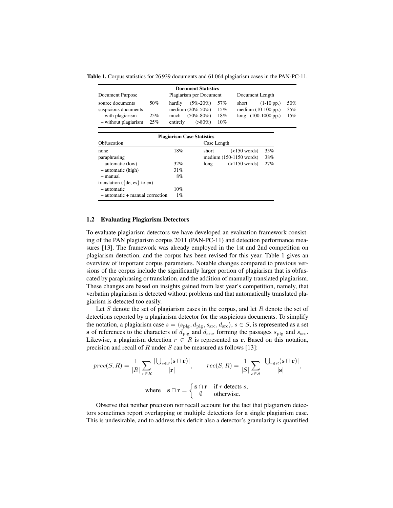Table 1. Corpus statistics for 26 939 documents and 61 064 plagiarism cases in the PAN-PC-11.

| Document Purpose                                                                      |                   | <b>Document Statistics</b><br>Plagiarism per Document                                                  |                          | Document Length                                                                 |                   |
|---------------------------------------------------------------------------------------|-------------------|--------------------------------------------------------------------------------------------------------|--------------------------|---------------------------------------------------------------------------------|-------------------|
| source documents<br>suspicious documents<br>- with plagiarism<br>- without plagiarism | 50%<br>25%<br>25% | $(5\% - 20\%)$<br>hardly<br>medium $(20\% - 50\%)$<br>$(50\% - 80\%)$<br>much<br>entirely<br>$(>80\%)$ | 57%<br>15%<br>18%<br>10% | short<br>$(1-10 \text{ pp.})$<br>medium $(10-100$ pp.)<br>$long$ (100-1000 pp.) | 50%<br>35%<br>15% |
| Obfuscation                                                                           |                   | <b>Plagiarism Case Statistics</b><br>Case Length                                                       |                          |                                                                                 |                   |

| Obfuscation                         |       | Case Length |                           |     |
|-------------------------------------|-------|-------------|---------------------------|-----|
| none                                | 18%   | short       | $(<150$ words)            | 35% |
| paraphrasing                        |       |             | medium $(150-1150$ words) | 38% |
| $-$ automatic (low)                 | 32%   | long        | $(>1150$ words)           | 27% |
| $-$ automatic (high)                | 31%   |             |                           |     |
| - manual                            | 8%    |             |                           |     |
| translation ( $\{de, es\}$ to en)   |       |             |                           |     |
| - automatic                         | 10%   |             |                           |     |
| $-$ automatic $+$ manual correction | $1\%$ |             |                           |     |

## 1.2 Evaluating Plagiarism Detectors

To evaluate plagiarism detectors we have developed an evaluation framework consisting of the PAN plagiarism corpus 2011 (PAN-PC-11) and detection performance measures [13]. The framework was already employed in the 1st and 2nd competition on plagiarism detection, and the corpus has been revised for this year. Table 1 gives an overview of important corpus parameters. Notable changes compared to previous versions of the corpus include the significantly larger portion of plagiarism that is obfuscated by paraphrasing or translation, and the addition of manually translated plagiarism. These changes are based on insights gained from last year's competition, namely, that verbatim plagiarism is detected without problems and that automatically translated plagiarism is detected too easily.

Let  $S$  denote the set of plagiarism cases in the corpus, and let  $R$  denote the set of detections reported by a plagiarism detector for the suspicious documents. To simplify the notation, a plagiarism case  $s = \langle s_{\text{plg}}, d_{\text{plg}}, s_{\text{src}}, d_{\text{src}} \rangle$ ,  $s \in S$ , is represented as a set s of references to the characters of  $d_{\text{plg}}$  and  $d_{\text{src}}$ , forming the passages  $s_{\text{plg}}$  and  $s_{\text{src}}$ . Likewise, a plagiarism detection  $r \in R$  is represented as r. Based on this notation, precision and recall of  $R$  under  $S$  can be measured as follows [13]:

$$
prec(S, R) = \frac{1}{|R|} \sum_{r \in R} \frac{|\bigcup_{s \in S} (\mathbf{s} \cap \mathbf{r})|}{|\mathbf{r}|}, \qquad rec(S, R) = \frac{1}{|S|} \sum_{s \in S} \frac{|\bigcup_{r \in R} (\mathbf{s} \cap \mathbf{r})|}{|\mathbf{s}|},
$$
  
where  $\mathbf{s} \cap \mathbf{r} = \begin{cases} \mathbf{s} \cap \mathbf{r} & \text{if } r \text{ detects } s, \\ \emptyset & \text{otherwise.} \end{cases}$ 

Observe that neither precision nor recall account for the fact that plagiarism detectors sometimes report overlapping or multiple detections for a single plagiarism case. This is undesirable, and to address this deficit also a detector's granularity is quantified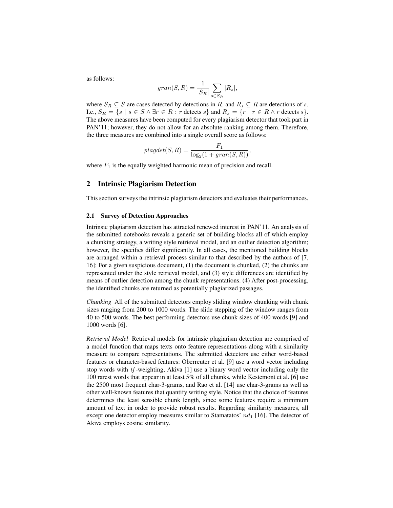as follows:

$$
gran(S,R) = \frac{1}{|S_R|} \sum_{s \in S_R} |R_s|,
$$

where  $S_R \subseteq S$  are cases detected by detections in R, and  $R_s \subseteq R$  are detections of s. I.e.,  $S_R = \{s \mid s \in S \land \exists r \in R : r \text{ detects } s\} \text{ and } R_s = \{r \mid r \in R \land r \text{ detects } s\}.$ The above measures have been computed for every plagiarism detector that took part in PAN'11; however, they do not allow for an absolute ranking among them. Therefore, the three measures are combined into a single overall score as follows:

$$
plagdet(S, R) = \frac{F_1}{\log_2(1 + gran(S, R))},
$$

where  $F_1$  is the equally weighted harmonic mean of precision and recall.

# 2 Intrinsic Plagiarism Detection

This section surveys the intrinsic plagiarism detectors and evaluates their performances.

## 2.1 Survey of Detection Approaches

Intrinsic plagiarism detection has attracted renewed interest in PAN'11. An analysis of the submitted notebooks reveals a generic set of building blocks all of which employ a chunking strategy, a writing style retrieval model, and an outlier detection algorithm; however, the specifics differ significantly. In all cases, the mentioned building blocks are arranged within a retrieval process similar to that described by the authors of [7, 16]: For a given suspicious document, (1) the document is chunked, (2) the chunks are represented under the style retrieval model, and (3) style differences are identified by means of outlier detection among the chunk representations. (4) After post-processing, the identified chunks are returned as potentially plagiarized passages.

*Chunking* All of the submitted detectors employ sliding window chunking with chunk sizes ranging from 200 to 1000 words. The slide stepping of the window ranges from 40 to 500 words. The best performing detectors use chunk sizes of 400 words [9] and 1000 words [6].

*Retrieval Model* Retrieval models for intrinsic plagiarism detection are comprised of a model function that maps texts onto feature representations along with a similarity measure to compare representations. The submitted detectors use either word-based features or character-based features: Oberreuter et al. [9] use a word vector including stop words with  $tf$ -weighting, Akiva [1] use a binary word vector including only the 100 rarest words that appear in at least 5% of all chunks, while Kestemont et al. [6] use the 2500 most frequent char-3-grams, and Rao et al. [14] use char-3-grams as well as other well-known features that quantify writing style. Notice that the choice of features determines the least sensible chunk length, since some features require a minimum amount of text in order to provide robust results. Regarding similarity measures, all except one detector employ measures similar to Stamatatos'  $nd_1$  [16]. The detector of Akiva employs cosine similarity.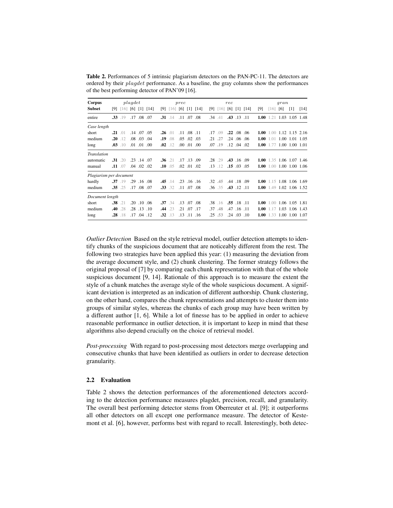Table 2. Performances of 5 intrinsic plagiarism detectors on the PAN-PC-11. The detectors are ordered by their plagdet performance. As a baseline, the gray columns show the performances of the best performing detector of PAN'09 [16].

| Corpus                  |                  |              | plaqdet |                   |                    |              |              | prec |                   |                           |     |              | rec |                           |              |      |                             | gran                |                   |        |
|-------------------------|------------------|--------------|---------|-------------------|--------------------|--------------|--------------|------|-------------------|---------------------------|-----|--------------|-----|---------------------------|--------------|------|-----------------------------|---------------------|-------------------|--------|
| <b>Subset</b>           | [9]              | [16]         |         |                   | $[6]$ $[1]$ $[14]$ | [9]          |              |      |                   | $[16]$ $[6]$ $[1]$ $[14]$ | [9] | $[16]$ [6]   |     |                           | $[1]$ $[14]$ | [9]  | [16]                        | [6]                 | $\lceil 1 \rceil$ | $[14]$ |
| entire                  | .33 <sub>1</sub> | .19          | .17     | $.08\,$           | .07                |              | $.31$ .14    | .11  | .07               | .08                       | .34 | .41          |     | .43 .13 .11               |              | 1.00 | 1.21                        | 1.03                | 1.05 1.48         |        |
| Case length             |                  |              |         |                   |                    |              |              |      |                   |                           |     |              |     |                           |              |      |                             |                     |                   |        |
| short                   |                  | $.21$ .01    |         | .14 .07 .05       |                    | $.26$ .01    |              |      | $.11$ $.08$ $.11$ |                           | .17 | .09          |     | $.22 \quad .08 \quad .06$ |              | 1.00 | $1.00$ $1.12$ $1.15$ $2.16$ |                     |                   |        |
| medium                  | .20              | .12          |         | .08 .03           | .04                | .19          | .08          | .05  | .02               | .03                       | .21 | .27          |     | .24 .06 .06               |              | 1.00 | 1.01                        | 1.00 1.01 1.05      |                   |        |
| long                    |                  | $.03$ .10    |         | $.01$ $.01$ $.00$ |                    | .02          | .12          |      | $.00$ $.01$ $.00$ |                           | .07 | .19          |     | $.12$ $.04$ $.02$         |              | 1.00 | 1.77                        | 1.00 1.00 1.01      |                   |        |
| Translation             |                  |              |         |                   |                    |              |              |      |                   |                           |     |              |     |                           |              |      |                             |                     |                   |        |
| automatic               | .31              | .20          |         | .23 .14           | .07                | $.36 \t .21$ |              |      | .17.13            | .09                       | .28 | .29          | .43 |                           | $.16$ $.09$  | 1.00 |                             | 1.35 1.06 1.07 1.46 |                   |        |
| manual                  |                  | $.11$ .07    |         | $.04$ $.02$       | .02                |              | $.10$ .05    |      | $.02$ $.01$ $.02$ |                           | .13 | .12          | .15 | .03                       | .05          | 1.00 | 1.00                        | 1.00 1.00 1.06      |                   |        |
| Plagiarism per document |                  |              |         |                   |                    |              |              |      |                   |                           |     |              |     |                           |              |      |                             |                     |                   |        |
| hardly                  |                  | $.37$ .19    | .29     | $.16$ $.08$       |                    | $.45$ $.14$  |              |      | $.23$ $.16$ $.16$ |                           |     | $.32 \; .45$ |     | .44 .18 .09               |              | 1.00 | 1.15 1.08 1.06 1.69         |                     |                   |        |
| medium                  |                  | $.35 \t .25$ |         | .17 .08 .07       |                    |              | $.33 \t .32$ |      | $.11$ $.07$       | .08                       |     | $.36 \t .35$ |     | .43 .12 .11               |              | 1.00 | 1.49 1.02 1.06 1.52         |                     |                   |        |
| Document length         |                  |              |         |                   |                    |              |              |      |                   |                           |     |              |     |                           |              |      |                             |                     |                   |        |
| short                   | .38              | .21          |         | $.20$ $.10$ $.06$ |                    | $.37 \t .34$ |              |      | $.13$ $.07$       | .08                       |     | $.38 \t .16$ |     | .55 .18 .11               |              | 1.00 | 1.00                        | 1.06 1.05 1.81      |                   |        |
| medium                  | .40              | .28          |         | .28 .13           | .10                | $.44$ .23    |              |      | .21 .07           | .17                       | .37 | .48          |     | .47 .16 .11               |              | 1.00 | 1.17                        | 1.03                | 1.06 1.43         |        |
| long                    | .28              | .18          | .17     | .04               | .12                | .32          | .13          | .13  | .11               | .16                       | .25 | .53          | .24 | .03                       | .10          | 1.00 | 1.33                        | 1.00                | 1.00 1.07         |        |

*Outlier Detection* Based on the style retrieval model, outlier detection attempts to identify chunks of the suspicious document that are noticeably different from the rest. The following two strategies have been applied this year: (1) measuring the deviation from the average document style, and (2) chunk clustering. The former strategy follows the original proposal of [7] by comparing each chunk representation with that of the whole suspicious document [9, 14]. Rationale of this approach is to measure the extent the style of a chunk matches the average style of the whole suspicious document. A significant deviation is interpreted as an indication of different authorship. Chunk clustering, on the other hand, compares the chunk representations and attempts to cluster them into groups of similar styles, whereas the chunks of each group may have been written by a different author [1, 6]. While a lot of finesse has to be applied in order to achieve reasonable performance in outlier detection, it is important to keep in mind that these algorithms also depend crucially on the choice of retrieval model.

*Post-processing* With regard to post-processing most detectors merge overlapping and consecutive chunks that have been identified as outliers in order to decrease detection granularity.

#### 2.2 Evaluation

Table 2 shows the detection performances of the aforementioned detectors according to the detection performance measures plagdet, precision, recall, and granularity. The overall best performing detector stems from Oberreuter et al. [9]; it outperforms all other detectors on all except one performance measure. The detector of Kestemont et al. [6], however, performs best with regard to recall. Interestingly, both detec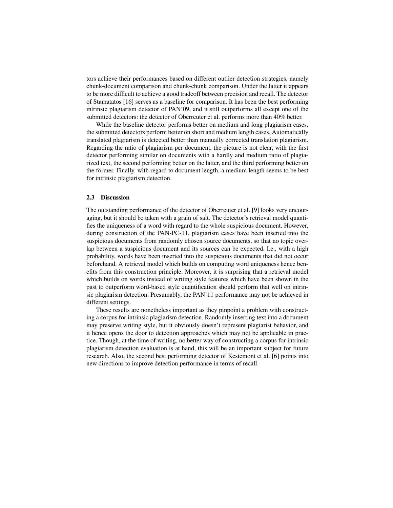tors achieve their performances based on different outlier detection strategies, namely chunk-document comparison and chunk-chunk comparison. Under the latter it appears to be more difficult to achieve a good tradeoff between precision and recall. The detector of Stamatatos [16] serves as a baseline for comparison. It has been the best performing intrinsic plagiarism detector of PAN'09, and it still outperforms all except one of the submitted detectors: the detector of Oberreuter et al. performs more than 40% better.

While the baseline detector performs better on medium and long plagiarism cases, the submitted detectors perform better on short and medium length cases. Automatically translated plagiarism is detected better than manually corrected translation plagiarism. Regarding the ratio of plagiarism per document, the picture is not clear, with the first detector performing similar on documents with a hardly and medium ratio of plagiarized text, the second performing better on the latter, and the third performing better on the former. Finally, with regard to document length, a medium length seems to be best for intrinsic plagiarism detection.

## 2.3 Discussion

The outstanding performance of the detector of Oberreuter et al. [9] looks very encouraging, but it should be taken with a grain of salt. The detector's retrieval model quantifies the uniqueness of a word with regard to the whole suspicious document. However, during construction of the PAN-PC-11, plagiarism cases have been inserted into the suspicious documents from randomly chosen source documents, so that no topic overlap between a suspicious document and its sources can be expected. I.e., with a high probability, words have been inserted into the suspicious documents that did not occur beforehand. A retrieval model which builds on computing word uniqueness hence benefits from this construction principle. Moreover, it is surprising that a retrieval model which builds on words instead of writing style features which have been shown in the past to outperform word-based style quantification should perform that well on intrinsic plagiarism detection. Presumably, the PAN'11 performance may not be achieved in different settings.

These results are nonetheless important as they pinpoint a problem with constructing a corpus for intrinsic plagiarism detection. Randomly inserting text into a document may preserve writing style, but it obviously doesn't represent plagiarist behavior, and it hence opens the door to detection approaches which may not be applicable in practice. Though, at the time of writing, no better way of constructing a corpus for intrinsic plagiarism detection evaluation is at hand, this will be an important subject for future research. Also, the second best performing detector of Kestemont et al. [6] points into new directions to improve detection performance in terms of recall.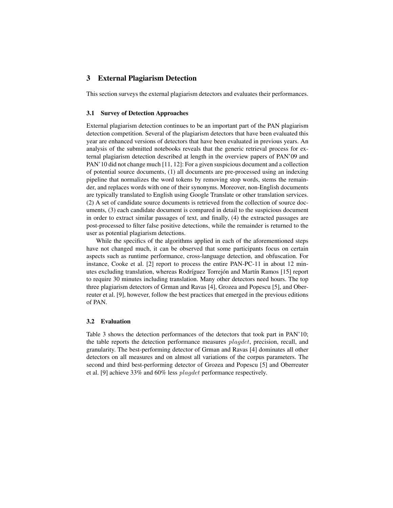# 3 External Plagiarism Detection

This section surveys the external plagiarism detectors and evaluates their performances.

#### 3.1 Survey of Detection Approaches

External plagiarism detection continues to be an important part of the PAN plagiarism detection competition. Several of the plagiarism detectors that have been evaluated this year are enhanced versions of detectors that have been evaluated in previous years. An analysis of the submitted notebooks reveals that the generic retrieval process for external plagiarism detection described at length in the overview papers of PAN'09 and PAN'10 did not change much [11, 12]: For a given suspicious document and a collection of potential source documents, (1) all documents are pre-processed using an indexing pipeline that normalizes the word tokens by removing stop words, stems the remainder, and replaces words with one of their synonyms. Moreover, non-English documents are typically translated to English using Google Translate or other translation services. (2) A set of candidate source documents is retrieved from the collection of source documents, (3) each candidate document is compared in detail to the suspicious document in order to extract similar passages of text, and finally, (4) the extracted passages are post-processed to filter false positive detections, while the remainder is returned to the user as potential plagiarism detections.

While the specifics of the algorithms applied in each of the aforementioned steps have not changed much, it can be observed that some participants focus on certain aspects such as runtime performance, cross-language detection, and obfuscation. For instance, Cooke et al. [2] report to process the entire PAN-PC-11 in about 12 minutes excluding translation, whereas Rodríguez Torrejón and Martín Ramos [15] report to require 30 minutes including translation. Many other detectors need hours. The top three plagiarism detectors of Grman and Ravas [4], Grozea and Popescu [5], and Oberreuter et al. [9], however, follow the best practices that emerged in the previous editions of PAN.

## 3.2 Evaluation

Table 3 shows the detection performances of the detectors that took part in PAN'10; the table reports the detection performance measures plagdet, precision, recall, and granularity. The best-performing detector of Grman and Ravas [4] dominates all other detectors on all measures and on almost all variations of the corpus parameters. The second and third best-performing detector of Grozea and Popescu [5] and Oberreuter et al. [9] achieve 33% and 60% less plagdet performance respectively.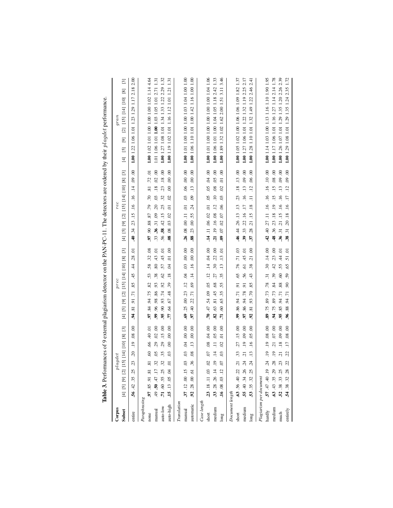|                 | Table 3. Perform                                              |                                                    |                                                                                                                | ances of 9 external plagiarism detector on the PAN-PC-11. The detectors are ordered by their <i>plagdet</i> performance                         |                                                                                                                                                        |
|-----------------|---------------------------------------------------------------|----------------------------------------------------|----------------------------------------------------------------------------------------------------------------|-------------------------------------------------------------------------------------------------------------------------------------------------|--------------------------------------------------------------------------------------------------------------------------------------------------------|
| Corpus          | $_{plagdet}$                                                  |                                                    | prec                                                                                                           | rec                                                                                                                                             | $_{gran}$                                                                                                                                              |
| Subset          | [01] [14] [10]<br>$[4]$ $[5]$ $[9]$ $[2]$ $[1]$               | $\boxed{3}$<br>$[8]$                               | $\begin{bmatrix} 3 \end{bmatrix}$<br>[2] [15] [14] [10] [8]<br>$\boxed{9}$<br>$\overline{5}$<br>$\overline{4}$ | $\overline{3}$<br>[4] [5] [9] [2] [15] [14] [10] [8]                                                                                            | $\begin{bmatrix} 3 \end{bmatrix}$<br>$\boxed{8}$<br>[2] [15] [14] [10]<br>$\begin{array}{c} \boxed{9} \end{array}$<br>$\overline{5}$<br>$\overline{E}$ |
| entire          | $\tilde{\mathcal{L}}$<br>23<br>.25<br>56.42.35                | $\ddot{\mathrm{0}}$<br>$\frac{8}{2}$<br>$\ddot{5}$ | ą<br>28<br>4<br>45<br>85<br>$\overline{z}$<br>5.<br>¤ë<br>2                                                    | $\ddot{\mathcal{S}}$<br>$\ddot{6}$<br>$\ddot{=}$<br>16<br>$\ddot{=}$<br>.23.15<br>$\ddot{3}$<br>ą.                                              | 1.00 1.22 1.06 1.01 1.23 1.29 1.17 2.18 2.00                                                                                                           |
| Paraphrasing    |                                                               |                                                    |                                                                                                                |                                                                                                                                                 |                                                                                                                                                        |
| none            | $\mathcal{S}$<br>$\overline{8}$<br>97.85.91.81                | ā<br>$\frac{1}{2}$<br>$\tilde{e}$                  | 32.08<br>58.<br>53<br>82<br>75.<br>94<br>84<br>È,                                                              | Ξ.<br>$\overline{.72}$<br>$\overline{81}$<br>.70<br>.79<br>.90.88.87<br>5                                                                       | 1.00 1.02 1.01 1.00 1.00 1.00 1.02 1.14 4.64                                                                                                           |
| manual          | $\widetilde{\mathrm{SO}}$<br>49.50.47.17                      | $\odot$<br>$\widetilde{\mathcal{S}}$<br>29         | .43.01<br>80<br>38.<br>93<br>86<br>86.96.<br>S,                                                                | .02.00<br>$\frac{8}{18}$<br>$\overline{0}$<br>$\overline{c}$<br>36.31.09<br>33                                                                  | 1.01 1.06 1.01 1.00 1.03 1.05 1.01 2.71 1.31                                                                                                           |
| auto-low        | 35<br>.71.60.55.25                                            | $\rm ^{0}$<br>$\ddot{15}$<br>29                    | ā<br>45<br>57<br><b>SS</b><br>92<br>$\overline{7}$<br>93<br>$\delta$<br>59                                     | $\overline{0}$<br>$\frac{8}{18}$<br>23<br>32<br>25<br>$\frac{15}{1}$<br>42<br>58<br>56                                                          | 1.00 1.27 1.08 1.01 1.34 1.33 1.22 2.29 1.32                                                                                                           |
| auto-high       | $\overline{0}$<br>15.13.05.04                                 | $\circ$<br>$\mathbf{S}$<br>$\mathcal{S}_{0}$       | $\rm ^{0}$<br>$\overline{a}$<br>\$<br>$\overline{18}$<br>39<br>48<br>67<br>$\ddot{q}$<br>F.                    | $\mathcal{S}$<br>$\overline{0}$<br>$\overline{0}$<br>$\mathfrak{S}$<br>ā<br>$\overline{0}$<br>S<br>$\overline{\phantom{a}}$<br>8                | 1.00 1.19 1.02 1.01 1.16 1.12 1.01 1.21 1.31                                                                                                           |
| Translation     |                                                               |                                                    |                                                                                                                |                                                                                                                                                 |                                                                                                                                                        |
| $_{\rm manual}$ | $\ddot{\rm s}$<br>03<br>37.12.00.15                           | $\overline{0}$<br>$\ddot{\mathbf{S}}$<br>S.        | 00.00.<br>$\ddot{\rm}$<br>$\ddot{q}$<br>$\Xi$<br>23<br>$\odot$<br>25<br>Ŝ                                      | 00.00.00.<br>$\ddot{0}$<br>$\Xi$<br>26.08.00.11                                                                                                 | 1.00 1.01 1.00 1.00 1.00 1.03 1.04 1.00 1.00                                                                                                           |
| automatic       | $\overline{0}$<br>36<br>$\ddot{\circ}$<br>$.92 \, .28 \, .00$ | $\odot$<br>$\mathcal{S}$<br>$\ddot{13}$            | 00.00<br>$\ddot{=}$<br>$\ddot{=}$<br>69.<br>$\overline{5}$<br>$\ddot{c}$<br>$\ddot{=}$<br>Ľ6                   | 00.00<br>$\ddot{.}13$<br>60<br>24<br>55<br>$\ddot{\rm s}$<br>23<br>88                                                                           | 1.00 1.06 1.10 1.01 1.00 1.42 1.16 1.00 1.00                                                                                                           |
| Case length     |                                                               |                                                    |                                                                                                                |                                                                                                                                                 |                                                                                                                                                        |
| short           | S<br>02<br>23.18.11.03                                        | $\odot$<br>ġ<br>$\overline{0}$                     | .04.00<br>$\overline{4}$<br>$\ddot{5}$<br>$\ddot{\mathrm{S}}$<br>47.54.09<br>ξ.                                | 00.400<br>$\overline{0}$<br>$\overline{a}$<br>.14 .11 .06 .02                                                                                   | 1.00 1.01 1.00 1.00 1.00 1.00 1.00 1.04 1.06                                                                                                           |
| medium          | $\overline{4}$<br>$\ddot{ }$<br>33 .28 .26 .14                | 00<br>$\overline{5}$<br>$\equiv$                   | .22.00<br>$\ddot{.}30$<br>27<br>68<br>45<br>$\overline{\phantom{0}}$<br>63<br>82                               | 00.50<br>$\overline{0}$<br>$\ddot{=}$<br>$\overline{12}$<br>21.19.16.08                                                                         | 1.00 1.06 1.01 1.00 1.04 1.05 1.18 2.42 1.33                                                                                                           |
| long            | $\mathfrak{S}$<br>07<br>$\overline{12}$<br>.16.08.03          | $\odot$<br>Ξ,<br>$\mathcal{S}$                     | ā<br>$\overline{13}$<br>$\ddot{13}$<br>35<br>55<br>35<br>$\mathcal{S}$<br>$\mathcal{S}$<br>5                   | $\odot$<br>$\overline{a}$<br>$\overline{c}$<br>0 <sup>3</sup><br>$\tilde{6}$<br>$\overline{0}$<br>$\ddot{\mathrm{S}}$<br>$\tilde{\omega}$<br>S. | 1.00 1.89 1.32 1.02 1.62 2.00 1.51 3.11 3.46                                                                                                           |
| Document length |                                                               |                                                    |                                                                                                                |                                                                                                                                                 |                                                                                                                                                        |
| short           | 33<br>$\overline{c}$<br>.63 .56 .40 .22                       | $\ddot{\mathrm{0}}$<br>$\ddot{5}$<br>27            | 76 71 03<br>65<br>$\overline{9}$<br>17. 44. 38.<br>S,                                                          | .13.00<br>$\frac{8}{18}$<br>23<br>44 26 13 13<br>₹.                                                                                             | 1.00 1.05 1.02 1.00 1.06 1.06 1.09 1.82 1.37                                                                                                           |
| medium          | $\overline{z}$<br>$\ddot{c}$<br>55.40.34.26                   | $\odot$<br>$\ddot{\mathrm{S}}$<br>$\ddot{5}$       | .45.01<br>$\overline{6}$<br>56<br>$\overline{5}$<br>.78<br>.86.94<br>S.                                        | 00, 00<br>$\frac{13}{2}$<br>$\overline{.16}$<br>.22 .16 .17<br>33<br>39                                                                         | 1.00 1.27 1.06 1.01 1.22 1.32 1.19 2.25 2.17                                                                                                           |
| long            | $\ddot{1}$<br>$\ddot{c}$<br>$\ddot{c}$<br>$\ddot{S}$<br>53.35 | $\infty$<br>$\overline{6}$<br>$\overline{.16}$     | $\odot$<br>$\overline{c}$<br>38.<br>43<br>85<br>70<br>93<br>$\overline{\infty}$<br>S                           | $\mathcal{S}$<br>06<br>$\overline{12}$<br>Ξ<br>$\frac{8}{18}$<br>15<br>$\overline{c}$<br>28.<br>57                                              | 2.46 2.41<br>1.28 1.10 1.01 1.32 1.49 1.22<br>0.001                                                                                                    |
|                 | Plagiarism per document                                       |                                                    |                                                                                                                |                                                                                                                                                 |                                                                                                                                                        |
| hardly          | $\ddot{5}$<br>24<br>57.47.40.19                               | $\odot$<br>$\overline{0}$<br>$\ddot{5}$            | .14.00<br>$\ddot{ }$<br>$\ddot{5}$<br>.78<br>$\ddot{u}$<br>89<br>.75<br>39                                     | $00.016$ . 10.<br>$\frac{6}{1}$<br>40 27 11 16<br>$\ddot{d}$                                                                                    | 1.00 1.14 1.03 1.00 1.13 1.16 1.10 1.90 1.95                                                                                                           |
| medium          | $\ddot{5}$<br>28<br>63 .43 .35 .29                            | $\mathcal{S}^{\mathcal{O}}$<br>ĆΟ.<br>21           | .23.00<br>42<br>39<br>84<br>.73<br>89<br>.75<br>ă                                                              | $\odot$<br>08<br>$\ddot{5}$<br>$\ddot{5}$<br>$\ddot{=}$<br>$\overline{.18}$<br>.36 .23<br>¥.                                                    | 1.00 1.17 1.06 1.01 1.16 1.27 1.14 2.14 1.78                                                                                                           |
| much            | $\overline{c}$<br>52 .38 .33 .25                              | $\rm 00$<br>$\overline{6}$<br>$\overline{18}$      | .44 .01<br>55<br>60<br>88<br>$\overline{5}$<br>94<br>85<br>5                                                   | $\odot$<br>$\ddot{6}$<br>$\frac{13}{2}$<br>$\frac{6}{1}$<br>31 .21 .15 .16<br>$\ddot{\mathcal{E}}$                                              | 1.00 1.26 1.07 1.01 1.29 1.35 1.20 2.26 2.39                                                                                                           |
| entirely        | S5<br>.28<br>54.38.32                                         | $\mathbf{S}$<br>$\approx$<br>$\overline{17}$       | ā<br>$\overline{51}$<br>\$<br>59<br>90<br>1.<br>$\ddot{\mathcal{L}}$<br>88.<br>క,                              | $\overline{0}$<br>$\overline{0}$<br>$\ddot{5}$<br>$\overline{17}$<br>$\frac{6}{1}$<br>$\frac{8}{18}$<br>$\overline{c}$<br>$\ddot{3}$<br>38.     | 1.00 1.29 1.08 1.01 1.29 1.35 1.24 2.35 1.72                                                                                                           |
|                 |                                                               |                                                    |                                                                                                                |                                                                                                                                                 |                                                                                                                                                        |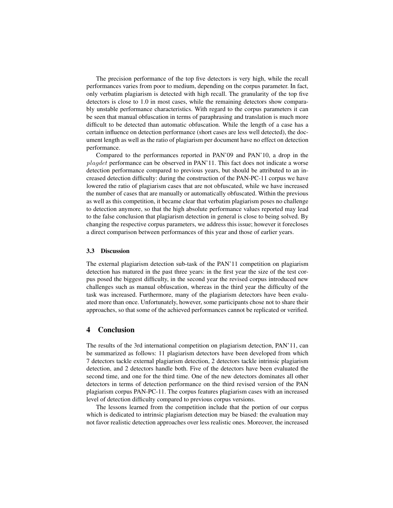The precision performance of the top five detectors is very high, while the recall performances varies from poor to medium, depending on the corpus parameter. In fact, only verbatim plagiarism is detected with high recall. The granularity of the top five detectors is close to 1.0 in most cases, while the remaining detectors show comparably unstable performance characteristics. With regard to the corpus parameters it can be seen that manual obfuscation in terms of paraphrasing and translation is much more difficult to be detected than automatic obfuscation. While the length of a case has a certain influence on detection performance (short cases are less well detected), the document length as well as the ratio of plagiarism per document have no effect on detection performance.

Compared to the performances reported in PAN'09 and PAN'10, a drop in the plagdet performance can be observed in PAN'11. This fact does not indicate a worse detection performance compared to previous years, but should be attributed to an increased detection difficulty: during the construction of the PAN-PC-11 corpus we have lowered the ratio of plagiarism cases that are not obfuscated, while we have increased the number of cases that are manually or automatically obfuscated. Within the previous as well as this competition, it became clear that verbatim plagiarism poses no challenge to detection anymore, so that the high absolute performance values reported may lead to the false conclusion that plagiarism detection in general is close to being solved. By changing the respective corpus parameters, we address this issue; however it forecloses a direct comparison between performances of this year and those of earlier years.

#### 3.3 Discussion

The external plagiarism detection sub-task of the PAN'11 competition on plagiarism detection has matured in the past three years: in the first year the size of the test corpus posed the biggest difficulty, in the second year the revised corpus introduced new challenges such as manual obfuscation, whereas in the third year the difficulty of the task was increased. Furthermore, many of the plagiarism detectors have been evaluated more than once. Unfortunately, however, some participants chose not to share their approaches, so that some of the achieved performances cannot be replicated or verified.

## 4 Conclusion

The results of the 3rd international competition on plagiarism detection, PAN'11, can be summarized as follows: 11 plagiarism detectors have been developed from which 7 detectors tackle external plagiarism detection, 2 detectors tackle intrinsic plagiarism detection, and 2 detectors handle both. Five of the detectors have been evaluated the second time, and one for the third time. One of the new detectors dominates all other detectors in terms of detection performance on the third revised version of the PAN plagiarism corpus PAN-PC-11. The corpus features plagiarism cases with an increased level of detection difficulty compared to previous corpus versions.

The lessons learned from the competition include that the portion of our corpus which is dedicated to intrinsic plagiarism detection may be biased: the evaluation may not favor realistic detection approaches over less realistic ones. Moreover, the increased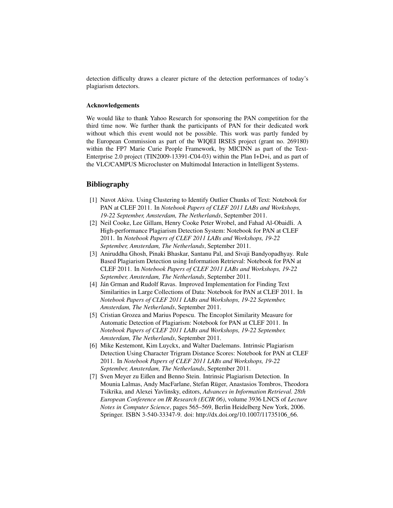detection difficulty draws a clearer picture of the detection performances of today's plagiarism detectors.

## Acknowledgements

We would like to thank Yahoo Research for sponsoring the PAN competition for the third time now. We further thank the participants of PAN for their dedicated work without which this event would not be possible. This work was partly funded by the European Commission as part of the WIQEI IRSES project (grant no. 269180) within the FP7 Marie Curie People Framework, by MICINN as part of the Text-Enterprise 2.0 project (TIN2009-13391-C04-03) within the Plan I+D+i, and as part of the VLC/CAMPUS Microcluster on Multimodal Interaction in Intelligent Systems.

# **Bibliography**

- [1] Navot Akiva. Using Clustering to Identify Outlier Chunks of Text: Notebook for PAN at CLEF 2011. In *Notebook Papers of CLEF 2011 LABs and Workshops, 19-22 September, Amsterdam, The Netherlands*, September 2011.
- [2] Neil Cooke, Lee Gillam, Henry Cooke Peter Wrobel, and Fahad Al-Obaidli. A High-performance Plagiarism Detection System: Notebook for PAN at CLEF 2011. In *Notebook Papers of CLEF 2011 LABs and Workshops, 19-22 September, Amsterdam, The Netherlands*, September 2011.
- [3] Aniruddha Ghosh, Pinaki Bhaskar, Santanu Pal, and Sivaji Bandyopadhyay. Rule Based Plagiarism Detection using Information Retrieval: Notebook for PAN at CLEF 2011. In *Notebook Papers of CLEF 2011 LABs and Workshops, 19-22 September, Amsterdam, The Netherlands*, September 2011.
- [4] Ján Grman and Rudolf Ravas. Improved Implementation for Finding Text Similarities in Large Collections of Data: Notebook for PAN at CLEF 2011. In *Notebook Papers of CLEF 2011 LABs and Workshops, 19-22 September, Amsterdam, The Netherlands*, September 2011.
- [5] Cristian Grozea and Marius Popescu. The Encoplot Similarity Measure for Automatic Detection of Plagiarism: Notebook for PAN at CLEF 2011. In *Notebook Papers of CLEF 2011 LABs and Workshops, 19-22 September, Amsterdam, The Netherlands*, September 2011.
- [6] Mike Kestemont, Kim Luyckx, and Walter Daelemans. Intrinsic Plagiarism Detection Using Character Trigram Distance Scores: Notebook for PAN at CLEF 2011. In *Notebook Papers of CLEF 2011 LABs and Workshops, 19-22 September, Amsterdam, The Netherlands*, September 2011.
- [7] Sven Meyer zu Eißen and Benno Stein. Intrinsic Plagiarism Detection. In Mounia Lalmas, Andy MacFarlane, Stefan Rüger, Anastasios Tombros, Theodora Tsikrika, and Alexei Yavlinsky, editors, *Advances in Information Retrieval. 28th European Conference on IR Research (ECIR 06)*, volume 3936 LNCS of *Lecture Notes in Computer Science*, pages 565–569, Berlin Heidelberg New York, 2006. Springer. ISBN 3-540-33347-9. doi: http://dx.doi.org/10.1007/11735106\_66.